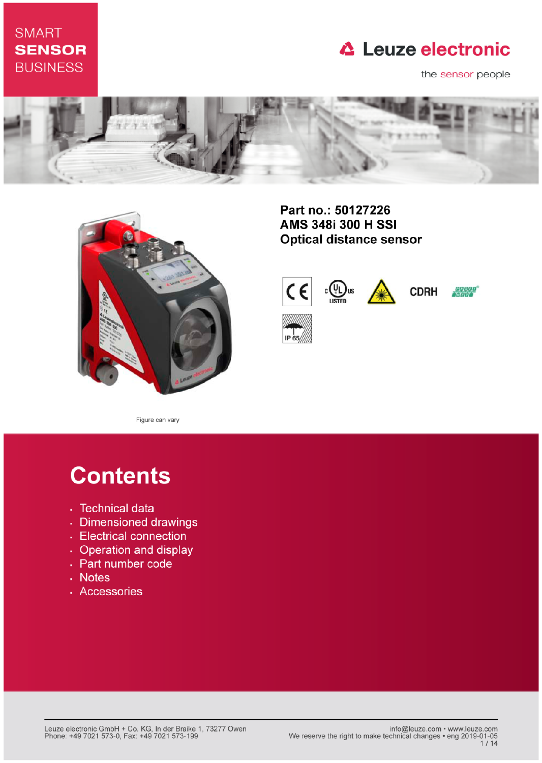## **SMART SENSOR BUSINESS**

# **△ Leuze electronic**

the sensor people





Part no.: 50127226 AMS 348i 300 H SSI **Optical distance sensor** 



Figure can vary

# **Contents**

- · Technical data
- · Dimensioned drawings
- Electrical connection
- Operation and display
- Part number code
- . Notes
- · Accessories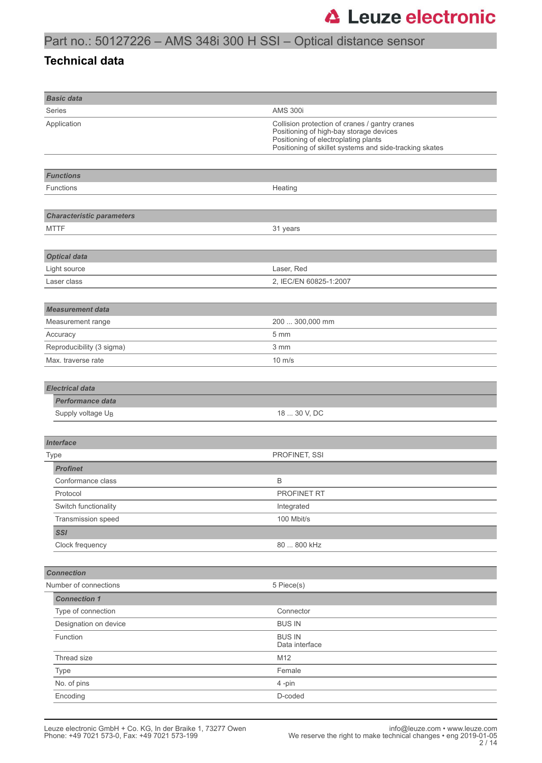### **Technical data**

| <b>Basic data</b>                |                                                                                                                                                                                              |
|----------------------------------|----------------------------------------------------------------------------------------------------------------------------------------------------------------------------------------------|
| Series                           | <b>AMS 300i</b>                                                                                                                                                                              |
| Application                      | Collision protection of cranes / gantry cranes<br>Positioning of high-bay storage devices<br>Positioning of electroplating plants<br>Positioning of skillet systems and side-tracking skates |
|                                  |                                                                                                                                                                                              |
| <b>Functions</b>                 |                                                                                                                                                                                              |
| <b>Functions</b>                 | Heating                                                                                                                                                                                      |
|                                  |                                                                                                                                                                                              |
| <b>Characteristic parameters</b> |                                                                                                                                                                                              |
| <b>MTTF</b>                      | 31 years                                                                                                                                                                                     |
|                                  |                                                                                                                                                                                              |
| <b>Optical data</b>              |                                                                                                                                                                                              |
| Light source                     | Laser, Red                                                                                                                                                                                   |
| Laser class                      | 2, IEC/EN 60825-1:2007                                                                                                                                                                       |
|                                  |                                                                                                                                                                                              |
| <b>Measurement data</b>          |                                                                                                                                                                                              |
| Measurement range                | 200  300,000 mm                                                                                                                                                                              |
| Accuracy                         | 5 mm                                                                                                                                                                                         |
| Reproducibility (3 sigma)        | 3 mm                                                                                                                                                                                         |
| Max. traverse rate               | $10 \text{ m/s}$                                                                                                                                                                             |
|                                  |                                                                                                                                                                                              |
| <b>Electrical data</b>           |                                                                                                                                                                                              |
| <b>Performance data</b>          |                                                                                                                                                                                              |
| Supply voltage U <sub>B</sub>    | 18  30 V, DC                                                                                                                                                                                 |
|                                  |                                                                                                                                                                                              |
| <b>Interface</b>                 |                                                                                                                                                                                              |
| <b>Type</b>                      | PROFINET, SSI                                                                                                                                                                                |
| <b>Profinet</b>                  |                                                                                                                                                                                              |
| Conformance class                | В                                                                                                                                                                                            |
| Protocol                         | PROFINET RT                                                                                                                                                                                  |
| Switch functionality             | Integrated                                                                                                                                                                                   |
| Transmission speed               | 100 Mbit/s                                                                                                                                                                                   |
| <b>SSI</b>                       |                                                                                                                                                                                              |
| Clock frequency                  | 80  800 kHz                                                                                                                                                                                  |
|                                  |                                                                                                                                                                                              |
| <b>Connection</b>                |                                                                                                                                                                                              |
| Number of connections            | 5 Piece(s)                                                                                                                                                                                   |
| <b>Connection 1</b>              |                                                                                                                                                                                              |
| Type of connection               | Connector                                                                                                                                                                                    |
| Designation on device            | <b>BUS IN</b>                                                                                                                                                                                |
| Function                         | <b>BUS IN</b><br>Data interface                                                                                                                                                              |
| Thread size                      | M12                                                                                                                                                                                          |
| Type                             | Female                                                                                                                                                                                       |
|                                  | 4-pin                                                                                                                                                                                        |
| Encoding                         | D-coded                                                                                                                                                                                      |
| No. of pins                      |                                                                                                                                                                                              |
|                                  |                                                                                                                                                                                              |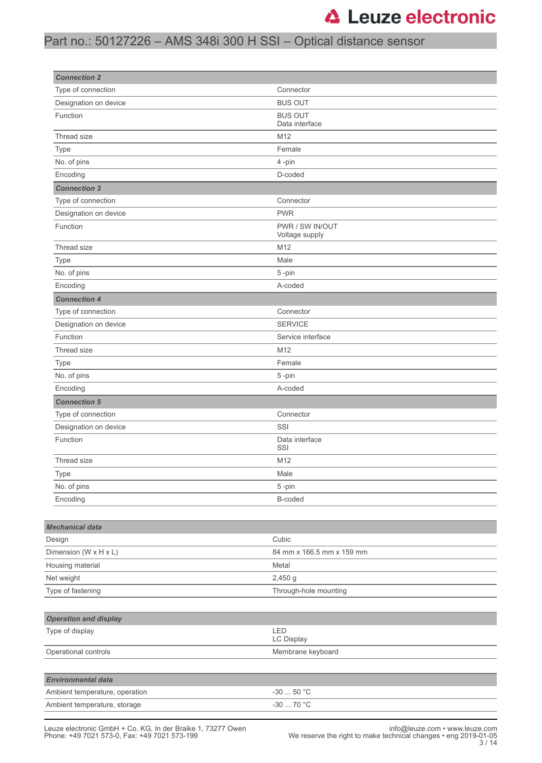## Part no.: 50127226 – AMS 348i 300 H SSI – Optical distance sensor

| <b>Connection 2</b>            |                                       |  |
|--------------------------------|---------------------------------------|--|
| Type of connection             | Connector                             |  |
| Designation on device          | <b>BUS OUT</b>                        |  |
| Function                       | <b>BUS OUT</b><br>Data interface      |  |
| Thread size                    | M12                                   |  |
| Type                           | Female                                |  |
| No. of pins                    | 4-pin                                 |  |
| Encoding                       | D-coded                               |  |
| <b>Connection 3</b>            |                                       |  |
| Type of connection             | Connector                             |  |
| Designation on device          | <b>PWR</b>                            |  |
| Function                       | PWR / SW IN/OUT<br>Voltage supply     |  |
| Thread size                    | M12                                   |  |
| Type                           | Male                                  |  |
| No. of pins                    | 5-pin                                 |  |
| Encoding                       | A-coded                               |  |
| <b>Connection 4</b>            |                                       |  |
| Type of connection             | Connector                             |  |
| Designation on device          | <b>SERVICE</b>                        |  |
| Function                       | Service interface                     |  |
| Thread size                    | M12                                   |  |
| Type                           | Female                                |  |
| No. of pins                    | 5-pin                                 |  |
| Encoding                       | A-coded                               |  |
| <b>Connection 5</b>            |                                       |  |
| Type of connection             | Connector                             |  |
| Designation on device          | SSI                                   |  |
| Function                       | Data interface<br>SSI                 |  |
| Thread size                    | M12                                   |  |
| Type                           | Male                                  |  |
| No. of pins                    | 5-pin                                 |  |
| Encoding                       | B-coded                               |  |
|                                |                                       |  |
| <b>Mechanical data</b>         |                                       |  |
| Design                         | Cubic                                 |  |
| Dimension (W x H x L)          | 84 mm x 166.5 mm x 159 mm             |  |
| Housing material               | Metal                                 |  |
| Net weight                     | 2,450 g                               |  |
| Type of fastening              | Through-hole mounting                 |  |
|                                |                                       |  |
| <b>Operation and display</b>   |                                       |  |
| Type of display                | LED<br>LC Display                     |  |
| Operational controls           | Membrane keyboard                     |  |
|                                |                                       |  |
| <b>Environmental data</b>      |                                       |  |
| Ambient temperature, operation | -30 $\ldots$ 50 $^{\circ} \mathrm{C}$ |  |
| Ambient temperature, storage   | $-3070$ °C                            |  |
|                                |                                       |  |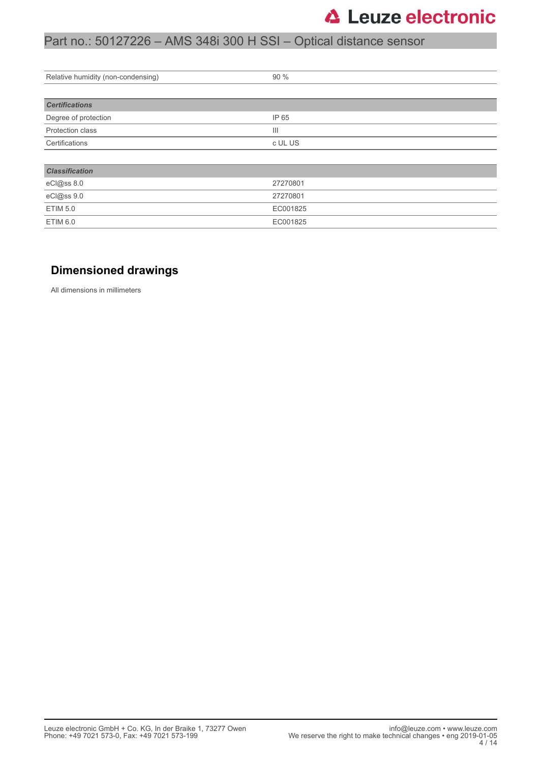## Part no.: 50127226 – AMS 348i 300 H SSI – Optical distance sensor

| Relative humidity (non-condensing) | 90 %     |  |
|------------------------------------|----------|--|
|                                    |          |  |
| <b>Certifications</b>              |          |  |
| Degree of protection               | IP 65    |  |
| Protection class                   | Ш        |  |
| Certifications                     | c UL US  |  |
|                                    |          |  |
| <b>Classification</b>              |          |  |
| eCl@ss 8.0                         | 27270801 |  |
| eCl@ss 9.0                         | 27270801 |  |
| <b>ETIM 5.0</b>                    | EC001825 |  |
| <b>ETIM 6.0</b>                    | EC001825 |  |

### **Dimensioned drawings**

All dimensions in millimeters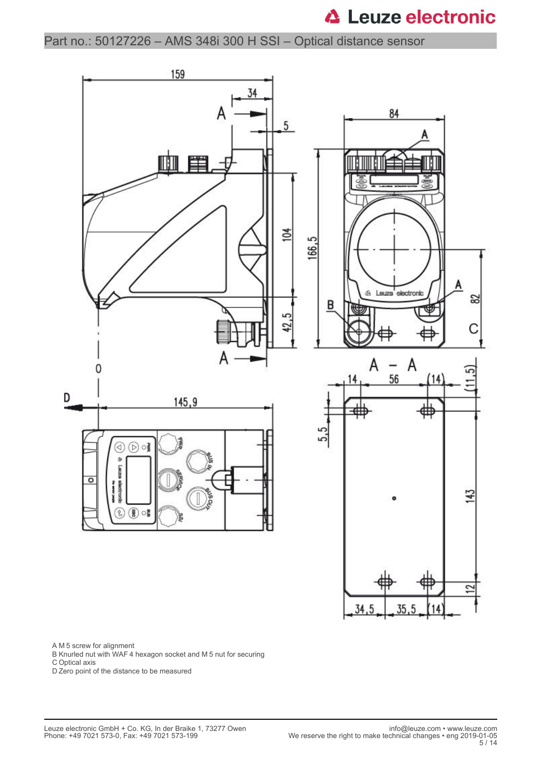Part no.: 50127226 – AMS 348i 300 H SSI – Optical distance sensor



A M 5 screw for alignment

B Knurled nut with WAF 4 hexagon socket and M 5 nut for securing

C Optical axis

D Zero point of the distance to be measured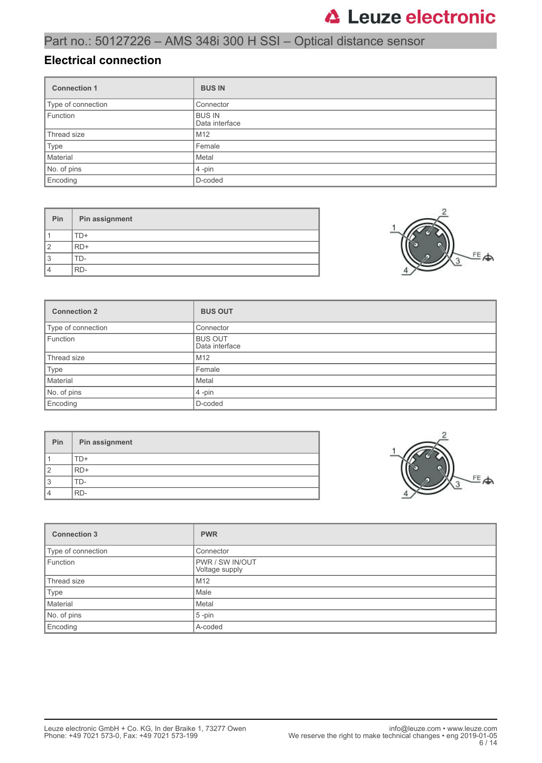## Part no.: 50127226 – AMS 348i 300 H SSI – Optical distance sensor

### **Electrical connection**

| <b>Connection 1</b> | <b>BUS IN</b>                   |
|---------------------|---------------------------------|
| Type of connection  | Connector                       |
| Function            | <b>BUS IN</b><br>Data interface |
| Thread size         | M <sub>12</sub>                 |
| Type                | Female                          |
| Material            | Metal                           |
| No. of pins         | $4$ -pin                        |
| Encoding            | D-coded                         |

| Pin            | Pin assignment |
|----------------|----------------|
|                | TD+            |
| $\overline{2}$ | RD+            |
| 3              | FD-            |
| $\overline{4}$ | RD-            |



| <b>Connection 2</b> | <b>BUS OUT</b>                   |
|---------------------|----------------------------------|
| Type of connection  | Connector                        |
| Function            | <b>BUS OUT</b><br>Data interface |
| Thread size         | M12                              |
| Type                | Female                           |
| Material            | Metal                            |
| No. of pins         | $4$ -pin                         |
| Encoding            | D-coded                          |

| Pin | Pin assignment |
|-----|----------------|
|     | ΓD+            |
| 2   | $RD+$          |
| 3   | TD-            |
| 4   | RD-            |



| <b>Connection 3</b> | <b>PWR</b>                        |
|---------------------|-----------------------------------|
| Type of connection  | Connector                         |
| Function            | PWR / SW IN/OUT<br>Voltage supply |
| Thread size         | M <sub>12</sub>                   |
| Type                | Male                              |
| Material            | Metal                             |
| No. of pins         | $5$ -pin                          |
| Encoding            | A-coded                           |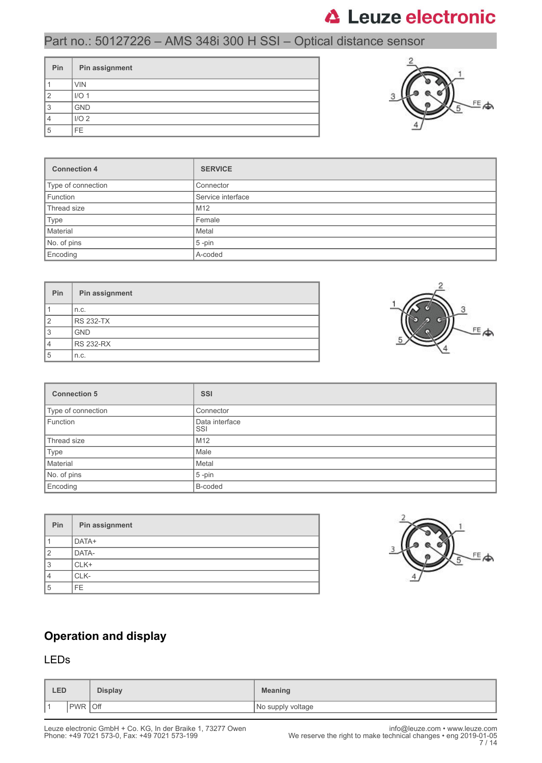## Part no.: 50127226 – AMS 348i 300 H SSI – Optical distance sensor

| Pin | Pin assignment   |
|-----|------------------|
|     | <b>VIN</b>       |
| 2   | I/O <sub>1</sub> |
| 3   | <b>GND</b>       |
|     | I/O <sub>2</sub> |
| 5   | FE.              |



| <b>Connection 4</b> | <b>SERVICE</b>    |
|---------------------|-------------------|
| Type of connection  | Connector         |
| Function            | Service interface |
| Thread size         | M <sub>12</sub>   |
| Type                | Female            |
| Material            | Metal             |
| No. of pins         | $5$ -pin          |
| Encoding            | A-coded           |

| <b>Pin</b>     | Pin assignment   |
|----------------|------------------|
|                | n.c.             |
| $\overline{2}$ | <b>RS 232-TX</b> |
| 3              | <b>GND</b>       |
| 4              | <b>RS 232-RX</b> |
| 5              | n.c.             |



| <b>Connection 5</b> | <b>SSI</b>            |
|---------------------|-----------------------|
| Type of connection  | Connector             |
| Function            | Data interface<br>SSI |
| Thread size         | M12                   |
| Type                | Male                  |
| Material            | Metal                 |
| No. of pins         | $5$ -pin              |
| Encoding            | B-coded               |

| Pin | Pin assignment |
|-----|----------------|
|     | DATA+          |
| 2   | DATA-          |
| 3   | CLK+           |
| 4   | CLK-           |
| 5   | FF.            |



### **Operation and display**

### LEDs

| <b>LED</b> |                   | <b>Display</b> | <b>Meaning</b>    |
|------------|-------------------|----------------|-------------------|
| ∎ ⊣        | Off<br><b>PWR</b> |                | No supply voltage |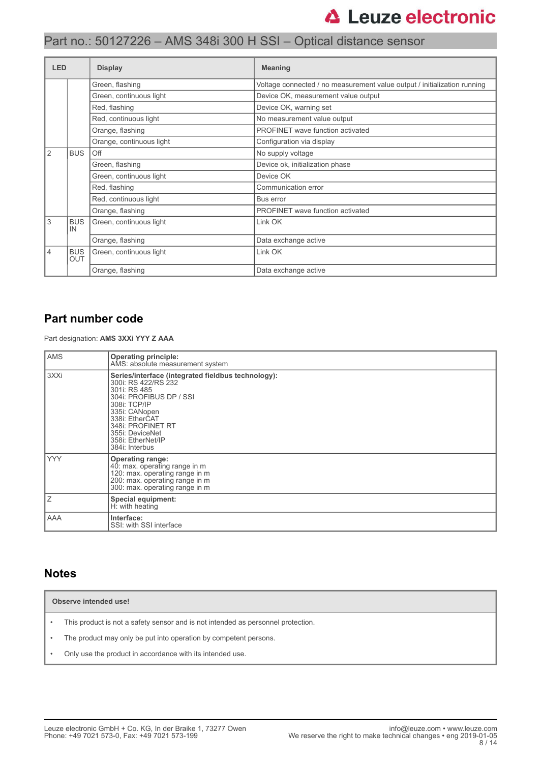| <b>LED</b> |                                                                | <b>Display</b>           | <b>Meaning</b>                                                           |  |
|------------|----------------------------------------------------------------|--------------------------|--------------------------------------------------------------------------|--|
|            |                                                                | Green, flashing          | Voltage connected / no measurement value output / initialization running |  |
|            |                                                                | Green, continuous light  | Device OK, measurement value output                                      |  |
|            |                                                                | Red, flashing            | Device OK, warning set                                                   |  |
|            |                                                                | Red, continuous light    | No measurement value output                                              |  |
|            |                                                                | Orange, flashing         | PROFINET wave function activated                                         |  |
|            |                                                                | Orange, continuous light | Configuration via display                                                |  |
| <u> 2</u>  | <b>BUS</b>                                                     | Off                      | No supply voltage                                                        |  |
|            |                                                                | Green, flashing          | Device ok, initialization phase                                          |  |
|            |                                                                | Green, continuous light  | Device OK                                                                |  |
|            |                                                                | Red, flashing            | Communication error                                                      |  |
|            |                                                                | Red, continuous light    | Bus error                                                                |  |
|            |                                                                | Orange, flashing         | PROFINET wave function activated                                         |  |
| 3          | <b>BUS</b><br>IN                                               | Green, continuous light  | Link OK                                                                  |  |
|            |                                                                | Orange, flashing         | Data exchange active                                                     |  |
| 4          | <b>BUS</b><br>Green, continuous light<br>Link OK<br><b>OUT</b> |                          |                                                                          |  |
|            |                                                                | Orange, flashing         | Data exchange active                                                     |  |

### **Part number code**

Part designation: **AMS 3XXi YYY Z AAA**

| <b>AMS</b> | <b>Operating principle:</b><br>AMS: absolute measurement system                                                                                                                                                                                        |
|------------|--------------------------------------------------------------------------------------------------------------------------------------------------------------------------------------------------------------------------------------------------------|
| 3XXi       | Series/interface (integrated fieldbus technology):<br>300i: RS 422/RS 232<br>301i: RS 485<br>304i: PROFIBUS DP / SSI<br>308i: TCP/IP<br>335i: CANopen<br>338i: EtherCAT<br>348i: PROFINET RT<br>355i: DeviceNet<br>358i: EtherNet/IP<br>384i: Interbus |
| <b>YYY</b> | <b>Operating range:</b><br>40: max. operating range in m<br>120: max. operating range in m<br>200: max. operating range in m<br>300: max. operating range in m                                                                                         |
| Ιz         | <b>Special equipment:</b><br>H: with heating                                                                                                                                                                                                           |
| AAA        | Interface:<br>SSI: with SSI interface                                                                                                                                                                                                                  |

### **Notes**

**Observe intended use!**

- This product is not a safety sensor and is not intended as personnel protection.
- The product may only be put into operation by competent persons.
- Only use the product in accordance with its intended use.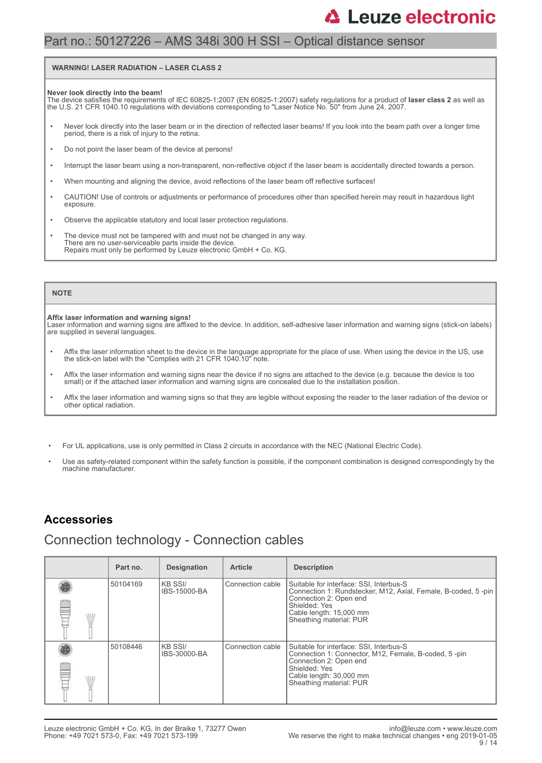### Part no.: 50127226 – AMS 348i 300 H SSI – Optical distance sensor

#### **WARNING! LASER RADIATION – LASER CLASS 2**

#### **Never look directly into the beam!**

The device satisfies the requirements of IEC 60825-1:2007 (EN 60825-1:2007) safety regulations for a product of **laser class 2** as well as<br>the U.S. 21 CFR 1040.10 regulations with deviations corresponding to "Laser Notice

- Never look directly into the laser beam or in the direction of reflected laser beams! If you look into the beam path over a longer time period, there is a risk of injury to the retina.
- Do not point the laser beam of the device at persons!
- Interrupt the laser beam using a non-transparent, non-reflective object if the laser beam is accidentally directed towards a person.
- When mounting and aligning the device, avoid reflections of the laser beam off reflective surfaces!
- CAUTION! Use of controls or adjustments or performance of procedures other than specified herein may result in hazardous light exposure.
- Observe the applicable statutory and local laser protection regulations.
- The device must not be tampered with and must not be changed in any way. There are no user-serviceable parts inside the device. Repairs must only be performed by Leuze electronic GmbH + Co. KG.

#### **NOTE**

#### **Affix laser information and warning signs!**

Laser information and warning signs are affixed to the device. In addition, self-adhesive laser information and warning signs (stick-on labels) are supplied in several languages.

- Affix the laser information sheet to the device in the language appropriate for the place of use. When using the device in the US, use the stick-on label with the "Complies with 21 CFR 1040.10" note.
- Affix the laser information and warning signs near the device if no signs are attached to the device (e.g. because the device is too small) or if the attached laser information and warning signs are concealed due to the installation position.
- Affix the laser information and warning signs so that they are legible without exposing the reader to the laser radiation of the device or other optical radiation.
- For UL applications, use is only permitted in Class 2 circuits in accordance with the NEC (National Electric Code).
- Use as safety-related component within the safety function is possible, if the component combination is designed correspondingly by the machine manufacturer.

### **Accessories**

### Connection technology - Connection cables

| Part no. | <b>Designation</b>       | <b>Article</b>   | <b>Description</b>                                                                                                                                                                                        |
|----------|--------------------------|------------------|-----------------------------------------------------------------------------------------------------------------------------------------------------------------------------------------------------------|
| 50104169 | IKB SSI/<br>IBS-15000-BA | Connection cable | Suitable for interface: SSI, Interbus-S<br>Connection 1: Rundstecker, M12, Axial, Female, B-coded, 5-pin<br>Connection 2: Open end<br>Shielded: Yes<br>Cable length: 15,000 mm<br>Sheathing material: PUR |
| 50108446 | IKB SSI/<br>IBS-30000-BA | Connection cable | Suitable for interface: SSI, Interbus-S<br>Connection 1: Connector, M12, Female, B-coded, 5-pin<br>Connection 2: Open end<br>Shielded: Yes<br>Cable length: 30,000 mm<br>Sheathing material: PUR          |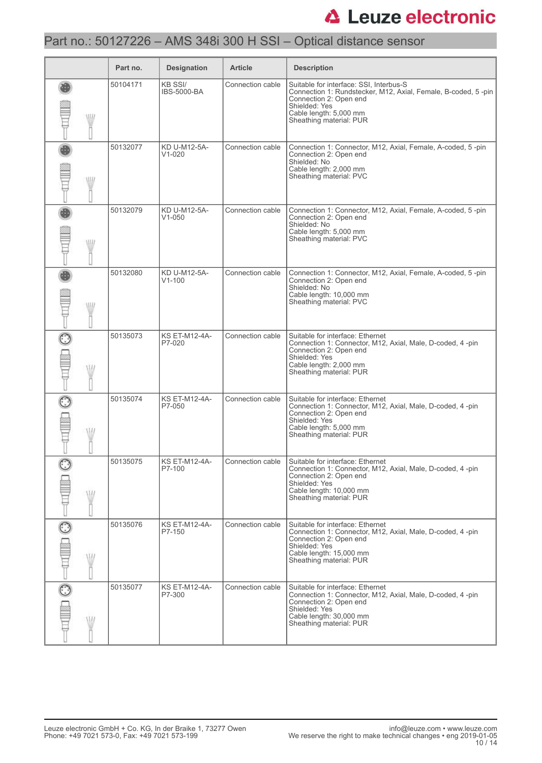## Part no.: 50127226 – AMS 348i 300 H SSI – Optical distance sensor

|              | Part no. | <b>Designation</b>                   | <b>Article</b>   | <b>Description</b>                                                                                                                                                                                       |
|--------------|----------|--------------------------------------|------------------|----------------------------------------------------------------------------------------------------------------------------------------------------------------------------------------------------------|
| WII          | 50104171 | <b>KB SSI/</b><br><b>IBS-5000-BA</b> | Connection cable | Suitable for interface: SSI, Interbus-S<br>Connection 1: Rundstecker, M12, Axial, Female, B-coded, 5-pin<br>Connection 2: Open end<br>Shielded: Yes<br>Cable length: 5,000 mm<br>Sheathing material: PUR |
| W            | 50132077 | KD U-M12-5A-<br>$V1 - 020$           | Connection cable | Connection 1: Connector, M12, Axial, Female, A-coded, 5-pin<br>Connection 2: Open end<br>Shielded: No<br>Cable length: 2,000 mm<br>Sheathing material: PVC                                               |
| W            | 50132079 | KD U-M12-5A-<br>$V1 - 050$           | Connection cable | Connection 1: Connector, M12, Axial, Female, A-coded, 5-pin<br>Connection 2: Open end<br>Shielded: No<br>Cable length: 5,000 mm<br>Sheathing material: PVC                                               |
| W            | 50132080 | KD U-M12-5A-<br>$V1 - 100$           | Connection cable | Connection 1: Connector, M12, Axial, Female, A-coded, 5-pin<br>Connection 2: Open end<br>Shielded: No<br>Cable length: 10,000 mm<br>Sheathing material: PVC                                              |
| W            | 50135073 | <b>KS ET-M12-4A-</b><br>P7-020       | Connection cable | Suitable for interface: Ethernet<br>Connection 1: Connector, M12, Axial, Male, D-coded, 4-pin<br>Connection 2: Open end<br>Shielded: Yes<br>Cable length: 2,000 mm<br>Sheathing material: PUR            |
| W            | 50135074 | <b>KS ET-M12-4A-</b><br>P7-050       | Connection cable | Suitable for interface: Ethernet<br>Connection 1: Connector, M12, Axial, Male, D-coded, 4 -pin<br>Connection 2: Open end<br>Shielded: Yes<br>Cable length: 5,000 mm<br>Sheathing material: PUR           |
| W            | 50135075 | KS ET-M12-4A-<br>P7-100              | Connection cable | Suitable for interface: Ethernet<br>Connection 1: Connector, M12, Axial, Male, D-coded, 4-pin<br>Connection 2: Open end<br>Shielded: Yes<br>Cable length: 10,000 mm<br>Sheathing material: PUR           |
| $\odot$<br>W | 50135076 | <b>KS ET-M12-4A-</b><br>P7-150       | Connection cable | Suitable for interface: Ethernet<br>Connection 1: Connector, M12, Axial, Male, D-coded, 4-pin<br>Connection 2: Open end<br>Shielded: Yes<br>Cable length: 15,000 mm<br>Sheathing material: PUR           |
| W            | 50135077 | <b>KS ET-M12-4A-</b><br>P7-300       | Connection cable | Suitable for interface: Ethernet<br>Connection 1: Connector, M12, Axial, Male, D-coded, 4-pin<br>Connection 2: Open end<br>Shielded: Yes<br>Cable length: 30,000 mm<br>Sheathing material: PUR           |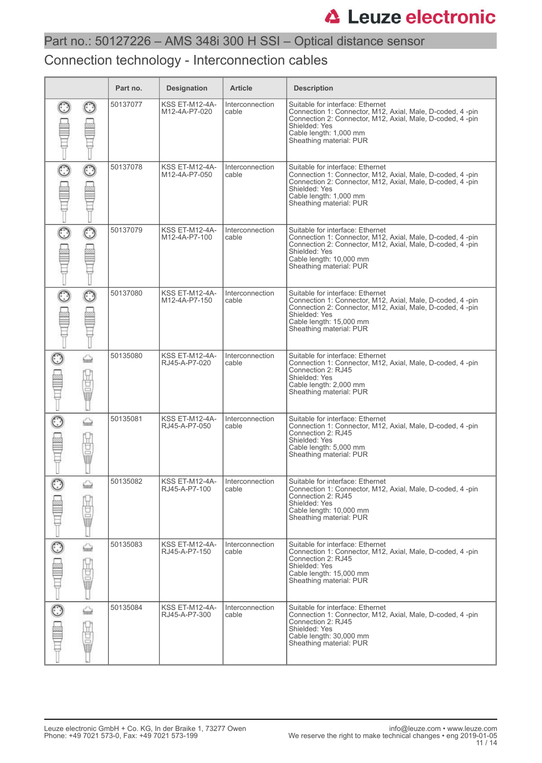### Connection technology - Interconnection cables

|         |             | Part no. | <b>Designation</b>                     | <b>Article</b>           | <b>Description</b>                                                                                                                                                                                                                |
|---------|-------------|----------|----------------------------------------|--------------------------|-----------------------------------------------------------------------------------------------------------------------------------------------------------------------------------------------------------------------------------|
|         |             | 50137077 | <b>KSS ET-M12-4A-</b><br>M12-4A-P7-020 | Interconnection<br>cable | Suitable for interface: Ethernet<br>Connection 1: Connector, M12, Axial, Male, D-coded, 4-pin<br>Connection 2: Connector, M12, Axial, Male, D-coded, 4-pin<br>Shielded: Yes<br>Cable length: 1,000 mm<br>Sheathing material: PUR  |
| $\odot$ | ☉           | 50137078 | <b>KSS ET-M12-4A-</b><br>M12-4A-P7-050 | Interconnection<br>cable | Suitable for interface: Ethernet<br>Connection 1: Connector, M12, Axial, Male, D-coded, 4 -pin<br>Connection 2: Connector, M12, Axial, Male, D-coded, 4-pin<br>Shielded: Yes<br>Cable length: 1,000 mm<br>Sheathing material: PUR |
|         |             | 50137079 | <b>KSS ET-M12-4A-</b><br>M12-4A-P7-100 | Interconnection<br>cable | Suitable for interface: Ethernet<br>Connection 1: Connector, M12, Axial, Male, D-coded, 4-pin<br>Connection 2: Connector, M12, Axial, Male, D-coded, 4-pin<br>Shielded: Yes<br>Cable length: 10,000 mm<br>Sheathing material: PUR |
| O       | $\odot$     | 50137080 | <b>KSS ET-M12-4A-</b><br>M12-4A-P7-150 | Interconnection<br>cable | Suitable for interface: Ethernet<br>Connection 1: Connector, M12, Axial, Male, D-coded, 4-pin<br>Connection 2: Connector, M12, Axial, Male, D-coded, 4-pin<br>Shielded: Yes<br>Cable length: 15,000 mm<br>Sheathing material: PUR |
|         | ⇔<br>Ö      | 50135080 | <b>KSS ET-M12-4A-</b><br>RJ45-A-P7-020 | Interconnection<br>cable | Suitable for interface: Ethernet<br>Connection 1: Connector, M12, Axial, Male, D-coded, 4-pin<br>Connection 2: RJ45<br>Shielded: Yes<br>Cable length: 2,000 mm<br>Sheathing material: PUR                                         |
|         | ⇔<br>ğ<br>Ū | 50135081 | KSS ET-M12-4A-<br>RJ45-A-P7-050        | Interconnection<br>cable | Suitable for interface: Ethernet<br>Connection 1: Connector, M12, Axial, Male, D-coded, 4-pin<br>Connection 2: RJ45<br>Shielded: Yes<br>Cable length: 5,000 mm<br>Sheathing material: PUR                                         |
|         | based<br>t  | 50135082 | KSS ET-M12-4A-<br>RJ45-A-P7-100        | Interconnection<br>cable | Suitable for interface: Ethernet<br>Connection 1: Connector, M12, Axial, Male, D-coded, 4-pin<br>Connection 2: RJ45<br>Shielded: Yes<br>Cable length: 10,000 mm<br>Sheathing material: PUR                                        |
| $\odot$ | ⇔<br>ġ      | 50135083 | KSS ET-M12-4A-<br>RJ45-A-P7-150        | Interconnection<br>cable | Suitable for interface: Ethernet<br>Connection 1: Connector, M12, Axial, Male, D-coded, 4-pin<br>Connection 2: RJ45<br>Shielded: Yes<br>Cable length: 15,000 mm<br>Sheathing material: PUR                                        |
|         | ⇔<br>팀<br>Ū | 50135084 | KSS ET-M12-4A-<br>RJ45-A-P7-300        | Interconnection<br>cable | Suitable for interface: Ethernet<br>Connection 1: Connector, M12, Axial, Male, D-coded, 4-pin<br>Connection 2: RJ45<br>Shielded: Yes<br>Cable length: 30,000 mm<br>Sheathing material: PUR                                        |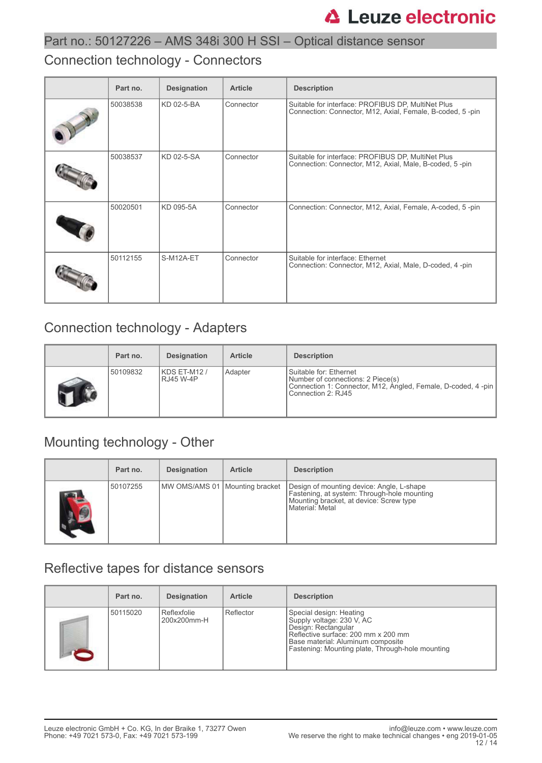### Connection technology - Connectors

| Part no. | <b>Designation</b> | <b>Article</b> | <b>Description</b>                                                                                              |
|----------|--------------------|----------------|-----------------------------------------------------------------------------------------------------------------|
| 50038538 | KD 02-5-BA         | Connector      | Suitable for interface: PROFIBUS DP, MultiNet Plus<br>Connection: Connector, M12, Axial, Female, B-coded, 5-pin |
| 50038537 | KD 02-5-SA         | Connector      | Suitable for interface: PROFIBUS DP, MultiNet Plus<br>Connection: Connector, M12, Axial, Male, B-coded, 5-pin   |
| 50020501 | KD 095-5A          | Connector      | Connection: Connector, M12, Axial, Female, A-coded, 5-pin                                                       |
| 50112155 | S-M12A-ET          | Connector      | Suitable for interface: Ethernet<br>Connection: Connector, M12, Axial, Male, D-coded, 4-pin                     |

## Connection technology - Adapters

| Part no. | <b>Designation</b>              | <b>Article</b> | <b>Description</b>                                                                                                                                 |
|----------|---------------------------------|----------------|----------------------------------------------------------------------------------------------------------------------------------------------------|
| 50109832 | KDS ET-M12/<br><b>RJ45 W-4P</b> | Adapter        | Suitable for: Ethernet<br>Number of connections: 2 Piece(s)<br>Connection 1: Connector, M12, Angled, Female, D-coded, 4 -pin<br>Connection 2: RJ45 |

## Mounting technology - Other

|            | Part no. | <b>Designation</b>               | <b>Article</b> | <b>Description</b>                                                                                                                                     |
|------------|----------|----------------------------------|----------------|--------------------------------------------------------------------------------------------------------------------------------------------------------|
| <b>ALC</b> | 50107255 | MW OMS/AMS 01   Mounting bracket |                | Design of mounting device: Angle, L-shape<br>Fastening, at system: Through-hole mounting<br>Mounting bracket, at device: Screw type<br>Material: Metal |

## Reflective tapes for distance sensors

| Part no. | <b>Designation</b>         | <b>Article</b> | <b>Description</b>                                                                                                                                                                                          |
|----------|----------------------------|----------------|-------------------------------------------------------------------------------------------------------------------------------------------------------------------------------------------------------------|
| 50115020 | Reflexfolie<br>200x200mm-H | Reflector      | Special design: Heating<br>Supply voltage: 230 V, AC<br>Design: Rectangular<br>Reflective surface: 200 mm x 200 mm<br>Base material: Aluminum composite<br>Fastening: Mounting plate, Through-hole mounting |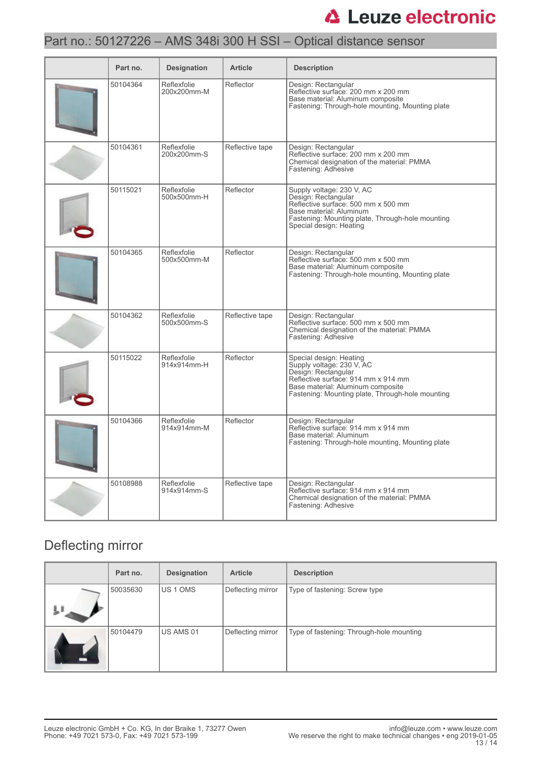## Part no.: 50127226 – AMS 348i 300 H SSI – Optical distance sensor

| Part no. | <b>Designation</b>         | <b>Article</b>  | <b>Description</b>                                                                                                                                                                                          |
|----------|----------------------------|-----------------|-------------------------------------------------------------------------------------------------------------------------------------------------------------------------------------------------------------|
| 50104364 | Reflexfolie<br>200x200mm-M | Reflector       | Design: Rectangular<br>Reflective surface: 200 mm x 200 mm<br>Base material: Aluminum composite<br>Fastening: Through-hole mounting, Mounting plate                                                         |
| 50104361 | Reflexfolie<br>200x200mm-S | Reflective tape | Design: Rectangular<br>Reflective surface: 200 mm x 200 mm<br>Chemical designation of the material: PMMA<br>Fastening: Adhesive                                                                             |
| 50115021 | Reflexfolie<br>500x500mm-H | Reflector       | Supply voltage: 230 V, AC<br>Design: Rectangular<br>Reflective surface: 500 mm x 500 mm<br>Base material: Aluminum<br>Fastening: Mounting plate, Through-hole mounting<br>Special design: Heating           |
| 50104365 | Reflexfolie<br>500x500mm-M | Reflector       | Design: Rectangular<br>Reflective surface: 500 mm x 500 mm<br>Base material: Aluminum composite<br>Fastening: Through-hole mounting, Mounting plate                                                         |
| 50104362 | Reflexfolie<br>500x500mm-S | Reflective tape | Design: Rectangular<br>Reflective surface: 500 mm x 500 mm<br>Chemical designation of the material: PMMA<br>Fastening: Adhesive                                                                             |
| 50115022 | Reflexfolie<br>914x914mm-H | Reflector       | Special design: Heating<br>Supply voltage: 230 V, AC<br>Design: Rectangular<br>Reflective surface: 914 mm x 914 mm<br>Base material: Aluminum composite<br>Fastening: Mounting plate, Through-hole mounting |
| 50104366 | Reflexfolie<br>914x914mm-M | Reflector       | Design: Rectangular<br>Reflective surface: 914 mm x 914 mm<br>Base material: Aluminum<br>Fastening: Through-hole mounting, Mounting plate                                                                   |
| 50108988 | Reflexfolie<br>914x914mm-S | Reflective tape | Design: Rectangular<br>Reflective surface: 914 mm x 914 mm<br>Chemical designation of the material: PMMA<br>Fastening: Adhesive                                                                             |

## Deflecting mirror

| Part no. | <b>Designation</b> | <b>Article</b>    | <b>Description</b>                       |
|----------|--------------------|-------------------|------------------------------------------|
| 50035630 | <b>IUS 1 OMS</b>   | Deflecting mirror | Type of fastening: Screw type            |
| 50104479 | US AMS 01          | Deflecting mirror | Type of fastening: Through-hole mounting |